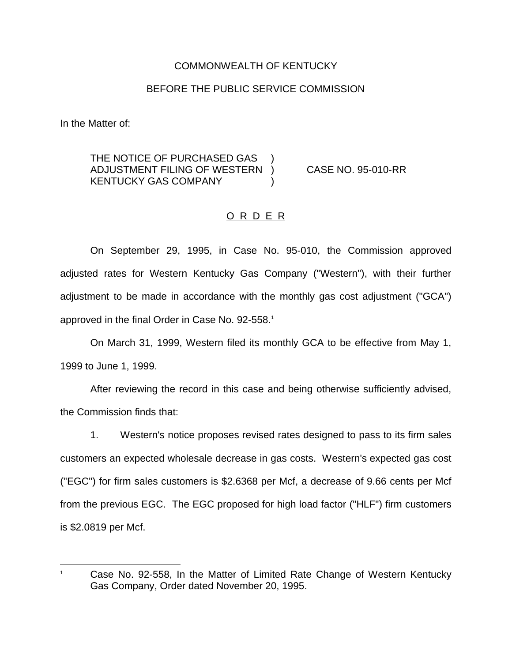## COMMONWEALTH OF KENTUCKY

### BEFORE THE PUBLIC SERVICE COMMISSION

In the Matter of:

THE NOTICE OF PURCHASED GAS ADJUSTMENT FILING OF WESTERN ) CASE NO. 95-010-RR KENTUCKY GAS COMPANY (1998)

## O R D E R

On September 29, 1995, in Case No. 95-010, the Commission approved adjusted rates for Western Kentucky Gas Company ("Western"), with their further adjustment to be made in accordance with the monthly gas cost adjustment ("GCA") approved in the final Order in Case No. 92-558.<sup>1</sup>

On March 31, 1999, Western filed its monthly GCA to be effective from May 1, 1999 to June 1, 1999.

After reviewing the record in this case and being otherwise sufficiently advised, the Commission finds that:

1. Western's notice proposes revised rates designed to pass to its firm sales customers an expected wholesale decrease in gas costs. Western's expected gas cost ("EGC") for firm sales customers is \$2.6368 per Mcf, a decrease of 9.66 cents per Mcf from the previous EGC. The EGC proposed for high load factor ("HLF") firm customers is \$2.0819 per Mcf.

<sup>&</sup>lt;sup>1</sup> Case No. 92-558, In the Matter of Limited Rate Change of Western Kentucky Gas Company, Order dated November 20, 1995.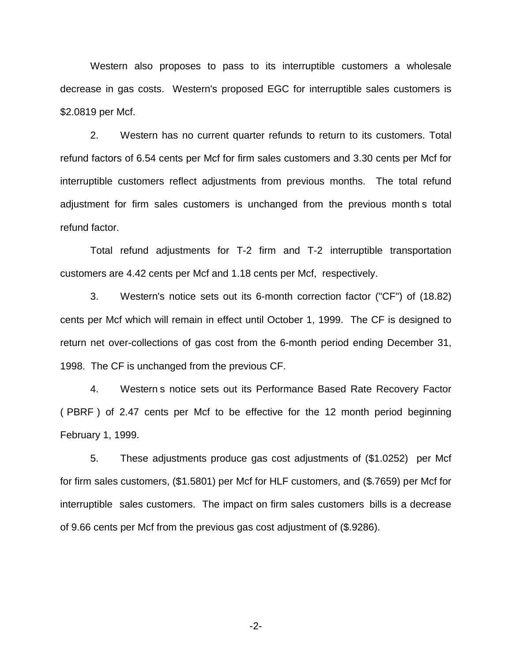Western also proposes to pass to its interruptible customers a wholesale decrease in gas costs. Western's proposed EGC for interruptible sales customers is \$2.0819 per Mcf.

2. Western has no current quarter refunds to return to its customers. Total refund factors of 6.54 cents per Mcf for firm sales customers and 3.30 cents per Mcf for interruptible customers reflect adjustments from previous months. The total refund adjustment for firm sales customers is unchanged from the previous month s total refund factor.

Total refund adjustments for T-2 firm and T-2 interruptible transportation customers are 4.42 cents per Mcf and 1.18 cents per Mcf, respectively.

3. Western's notice sets out its 6-month correction factor ("CF") of (18.82) cents per Mcf which will remain in effect until October 1, 1999. The CF is designed to return net over-collections of gas cost from the 6-month period ending December 31, 1998. The CF is unchanged from the previous CF.

4. Western s notice sets out its Performance Based Rate Recovery Factor ( PBRF ) of 2.47 cents per Mcf to be effective for the 12 month period beginning February 1, 1999.

5. These adjustments produce gas cost adjustments of (\$1.0252) per Mcf for firm sales customers, (\$1.5801) per Mcf for HLF customers, and (\$.7659) per Mcf for interruptible sales customers. The impact on firm sales customers bills is a decrease of 9.66 cents per Mcf from the previous gas cost adjustment of (\$.9286).

-2-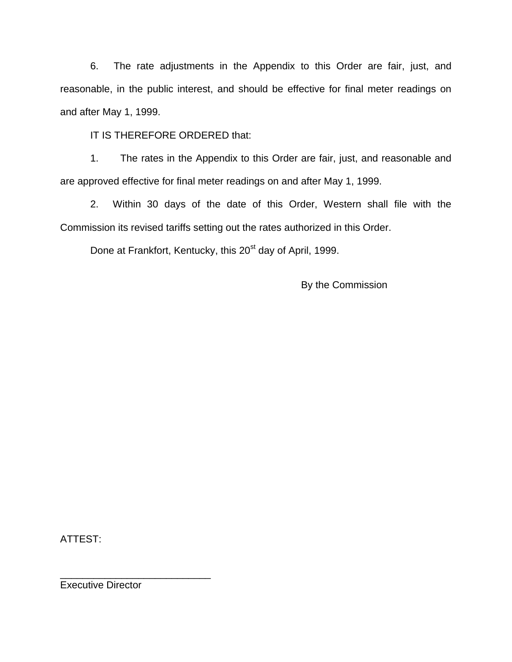6. The rate adjustments in the Appendix to this Order are fair, just, and reasonable, in the public interest, and should be effective for final meter readings on and after May 1, 1999.

IT IS THEREFORE ORDERED that:

1. The rates in the Appendix to this Order are fair, just, and reasonable and are approved effective for final meter readings on and after May 1, 1999.

2. Within 30 days of the date of this Order, Western shall file with the Commission its revised tariffs setting out the rates authorized in this Order.

Done at Frankfort, Kentucky, this 20<sup>st</sup> day of April, 1999.

By the Commission

ATTEST:

Executive Director

\_\_\_\_\_\_\_\_\_\_\_\_\_\_\_\_\_\_\_\_\_\_\_\_\_\_\_